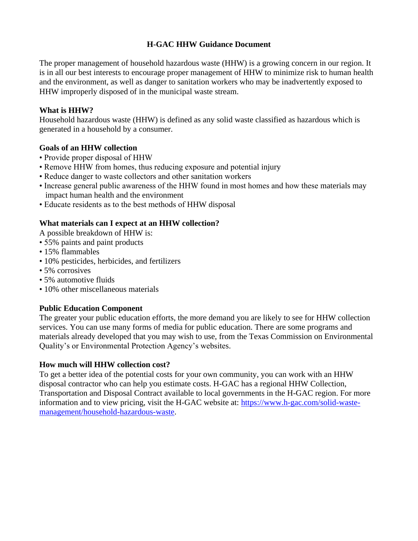# **H-GAC HHW Guidance Document**

The proper management of household hazardous waste (HHW) is a growing concern in our region. It is in all our best interests to encourage proper management of HHW to minimize risk to human health and the environment, as well as danger to sanitation workers who may be inadvertently exposed to HHW improperly disposed of in the municipal waste stream.

## **What is HHW?**

Household hazardous waste (HHW) is defined as any solid waste classified as hazardous which is generated in a household by a consumer.

## **Goals of an HHW collection**

- Provide proper disposal of HHW
- Remove HHW from homes, thus reducing exposure and potential injury
- Reduce danger to waste collectors and other sanitation workers
- Increase general public awareness of the HHW found in most homes and how these materials may impact human health and the environment
- Educate residents as to the best methods of HHW disposal

## **What materials can I expect at an HHW collection?**

A possible breakdown of HHW is:

- 55% paints and paint products
- 15% flammables
- 10% pesticides, herbicides, and fertilizers
- 5% corrosives
- 5% automotive fluids
- 10% other miscellaneous materials

# **Public Education Component**

The greater your public education efforts, the more demand you are likely to see for HHW collection services. You can use many forms of media for public education. There are some programs and materials already developed that you may wish to use, from the Texas Commission on Environmental Quality's or Environmental Protection Agency's websites.

#### **How much will HHW collection cost?**

To get a better idea of the potential costs for your own community, you can work with an HHW disposal contractor who can help you estimate costs. H-GAC has a regional HHW Collection, Transportation and Disposal Contract available to local governments in the H-GAC region. For more information and to view pricing, visit the H-GAC website at: [https://www.h-gac.com/solid-waste](https://www.h-gac.com/solid-waste-management/household-hazardous-waste)[management/household-hazardous-waste.](https://www.h-gac.com/solid-waste-management/household-hazardous-waste)